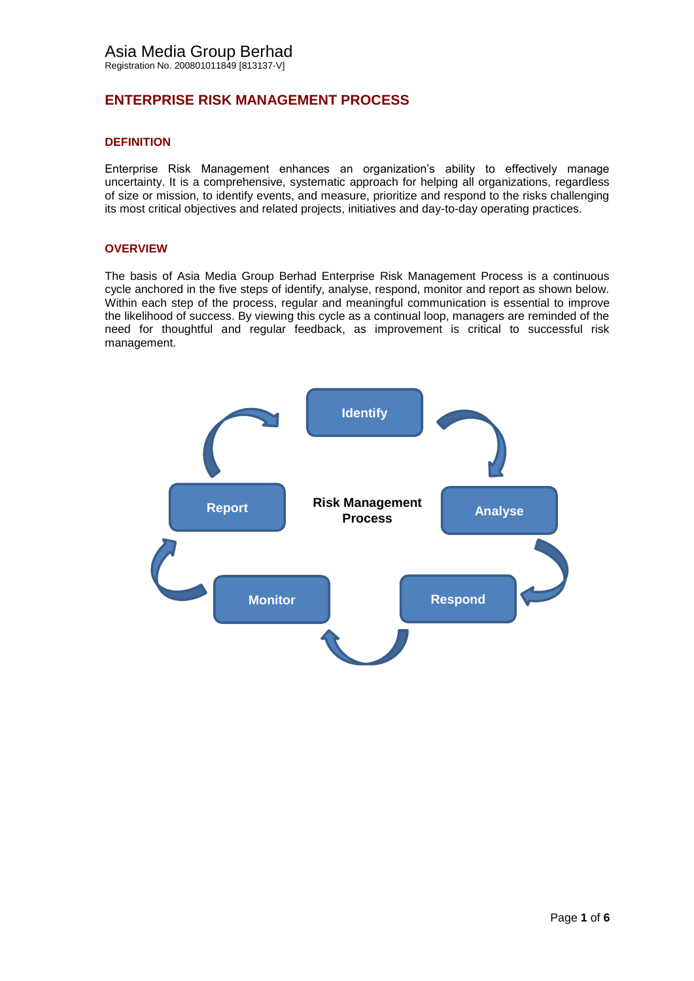# **ENTERPRISE RISK MANAGEMENT PROCESS**

### **DEFINITION**

Enterprise Risk Management enhances an organization's ability to effectively manage uncertainty. It is a comprehensive, systematic approach for helping all organizations, regardless of size or mission, to identify events, and measure, prioritize and respond to the risks challenging its most critical objectives and related projects, initiatives and day-to-day operating practices.

### **OVERVIEW**

The basis of Asia Media Group Berhad Enterprise Risk Management Process is a continuous cycle anchored in the five steps of identify, analyse, respond, monitor and report as shown below. Within each step of the process, regular and meaningful communication is essential to improve the likelihood of success. By viewing this cycle as a continual loop, managers are reminded of the need for thoughtful and regular feedback, as improvement is critical to successful risk management.

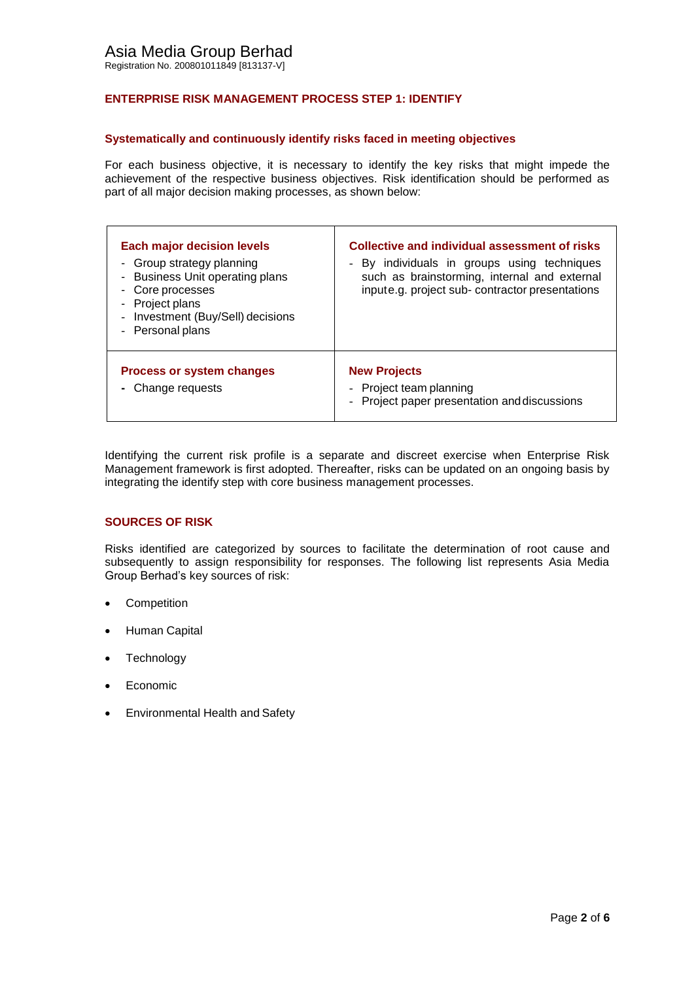# **ENTERPRISE RISK MANAGEMENT PROCESS STEP 1: IDENTIFY**

### **Systematically and continuously identify risks faced in meeting objectives**

For each business objective, it is necessary to identify the key risks that might impede the achievement of the respective business objectives. Risk identification should be performed as part of all major decision making processes, as shown below:

| <b>Each major decision levels</b><br>Group strategy planning<br>۰<br>- Business Unit operating plans<br>Core processes<br>Project plans<br>Investment (Buy/Sell) decisions<br>$\blacksquare$<br>- Personal plans | <b>Collective and individual assessment of risks</b><br>By individuals in groups using techniques<br>such as brainstorming, internal and external<br>inpute.g. project sub- contractor presentations |
|------------------------------------------------------------------------------------------------------------------------------------------------------------------------------------------------------------------|------------------------------------------------------------------------------------------------------------------------------------------------------------------------------------------------------|
| <b>Process or system changes</b><br>- Change requests                                                                                                                                                            | <b>New Projects</b><br>- Project team planning<br>- Project paper presentation and discussions                                                                                                       |

Identifying the current risk profile is a separate and discreet exercise when Enterprise Risk Management framework is first adopted. Thereafter, risks can be updated on an ongoing basis by integrating the identify step with core business management processes.

### **SOURCES OF RISK**

Risks identified are categorized by sources to facilitate the determination of root cause and subsequently to assign responsibility for responses. The following list represents Asia Media Group Berhad's key sources of risk:

- Competition
- Human Capital
- **Technology**
- Economic
- Environmental Health and Safety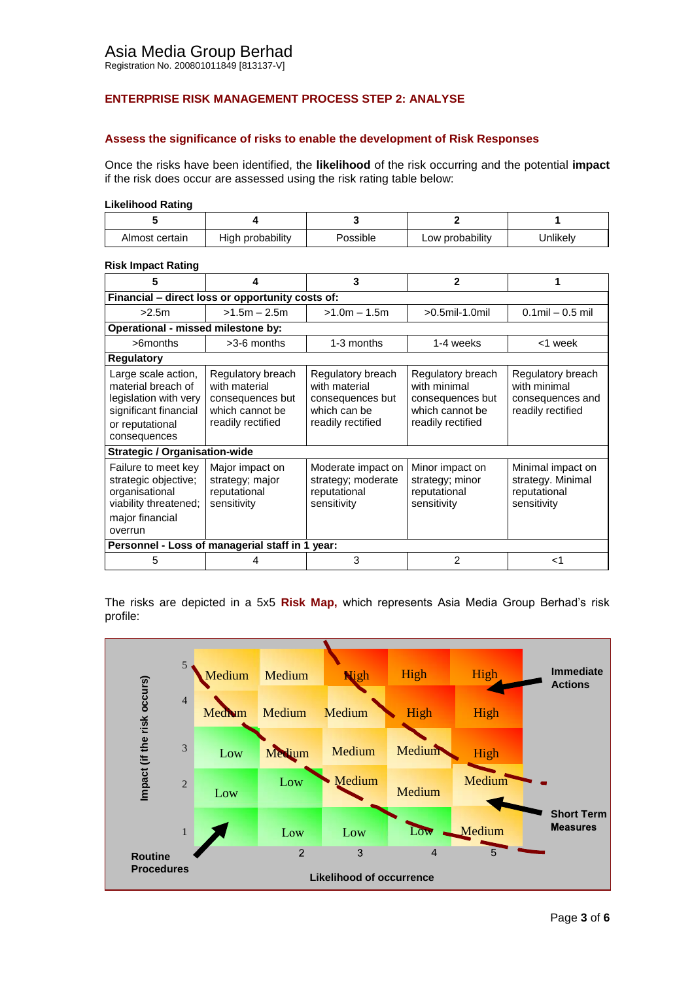# **ENTERPRISE RISK MANAGEMENT PROCESS STEP 2: ANALYSE**

### **Assess the significance of risks to enable the development of Risk Responses**

Once the risks have been identified, the **likelihood** of the risk occurring and the potential **impact**  if the risk does occur are assessed using the risk rating table below:

#### **Likelihood Rating**

| Almost certain | High probability | Possible | Low probability | Jnlikely |
|----------------|------------------|----------|-----------------|----------|

#### **Risk Impact Rating**

| 5                                                                                                                              | 4                                                                                              | 3                                                                                           | 2                                                                                             |                                                                            |  |  |  |
|--------------------------------------------------------------------------------------------------------------------------------|------------------------------------------------------------------------------------------------|---------------------------------------------------------------------------------------------|-----------------------------------------------------------------------------------------------|----------------------------------------------------------------------------|--|--|--|
| Financial - direct loss or opportunity costs of:                                                                               |                                                                                                |                                                                                             |                                                                                               |                                                                            |  |  |  |
| >2.5m                                                                                                                          | $>1.5m - 2.5m$                                                                                 | $>1.0m - 1.5m$                                                                              | $>0.5$ mil-1.0mil                                                                             | $0.1$ mil $-0.5$ mil                                                       |  |  |  |
| Operational - missed milestone by:                                                                                             |                                                                                                |                                                                                             |                                                                                               |                                                                            |  |  |  |
| $>$ 6 months                                                                                                                   | $>3-6$ months                                                                                  | 1-3 months                                                                                  | 1-4 weeks                                                                                     | <1 week                                                                    |  |  |  |
| <b>Regulatory</b>                                                                                                              |                                                                                                |                                                                                             |                                                                                               |                                                                            |  |  |  |
| Large scale action,<br>material breach of<br>legislation with very<br>significant financial<br>or reputational<br>consequences | Regulatory breach<br>with material<br>consequences but<br>which cannot be<br>readily rectified | Regulatory breach<br>with material<br>consequences but<br>which can be<br>readily rectified | Regulatory breach<br>with minimal<br>consequences but<br>which cannot be<br>readily rectified | Regulatory breach<br>with minimal<br>consequences and<br>readily rectified |  |  |  |
| <b>Strategic / Organisation-wide</b>                                                                                           |                                                                                                |                                                                                             |                                                                                               |                                                                            |  |  |  |
| Failure to meet key<br>strategic objective;<br>organisational<br>viability threatened;<br>major financial<br>overrun           | Major impact on<br>strategy; major<br>reputational<br>sensitivity                              | Moderate impact on<br>strategy; moderate<br>reputational<br>sensitivity                     | Minor impact on<br>strategy; minor<br>reputational<br>sensitivity                             | Minimal impact on<br>strategy. Minimal<br>reputational<br>sensitivity      |  |  |  |
| Personnel - Loss of managerial staff in 1 year:                                                                                |                                                                                                |                                                                                             |                                                                                               |                                                                            |  |  |  |
| 5                                                                                                                              | 4                                                                                              | 3                                                                                           | 2                                                                                             | ا>                                                                         |  |  |  |

The risks are depicted in a 5x5 **Risk Map,** which represents Asia Media Group Berhad's risk profile:

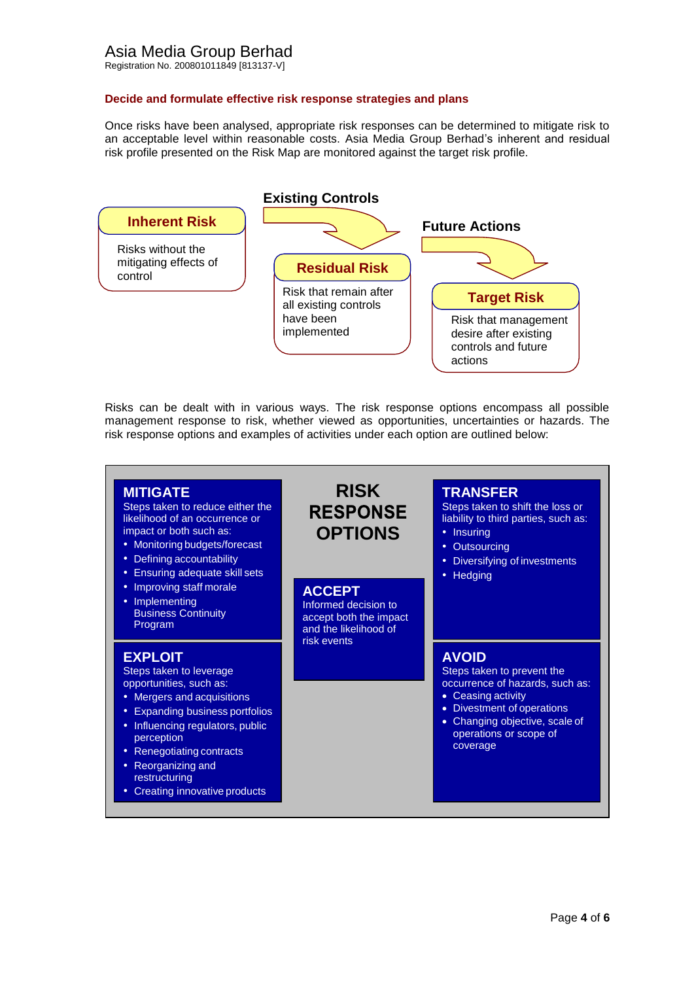### **Decide and formulate effective risk response strategies and plans**

Once risks have been analysed, appropriate risk responses can be determined to mitigate risk to an acceptable level within reasonable costs. Asia Media Group Berhad's inherent and residual risk profile presented on the Risk Map are monitored against the target risk profile.



Risks can be dealt with in various ways. The risk response options encompass all possible management response to risk, whether viewed as opportunities, uncertainties or hazards. The risk response options and examples of activities under each option are outlined below:

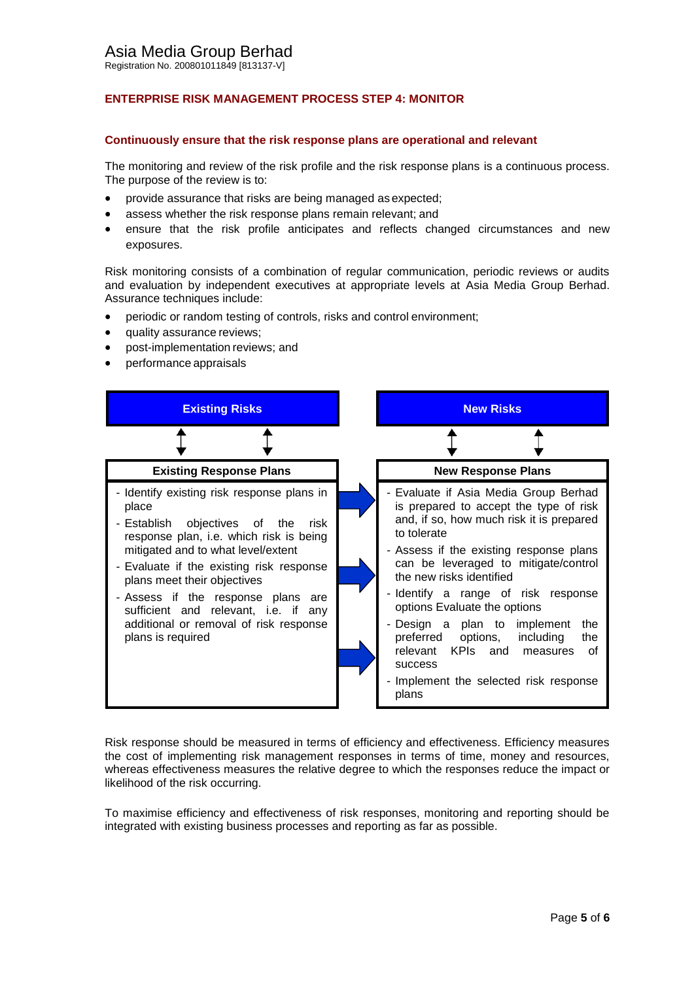# **ENTERPRISE RISK MANAGEMENT PROCESS STEP 4: MONITOR**

#### **Continuously ensure that the risk response plans are operational and relevant**

The monitoring and review of the risk profile and the risk response plans is a continuous process. The purpose of the review is to:

- provide assurance that risks are being managed as expected;
- assess whether the risk response plans remain relevant; and
- ensure that the risk profile anticipates and reflects changed circumstances and new exposures.

Risk monitoring consists of a combination of regular communication, periodic reviews or audits and evaluation by independent executives at appropriate levels at Asia Media Group Berhad. Assurance techniques include:

- periodic or random testing of controls, risks and control environment;
- quality assurance reviews;
- post-implementation reviews; and
- performance appraisals



Risk response should be measured in terms of efficiency and effectiveness. Efficiency measures the cost of implementing risk management responses in terms of time, money and resources, whereas effectiveness measures the relative degree to which the responses reduce the impact or likelihood of the risk occurring.

To maximise efficiency and effectiveness of risk responses, monitoring and reporting should be integrated with existing business processes and reporting as far as possible.